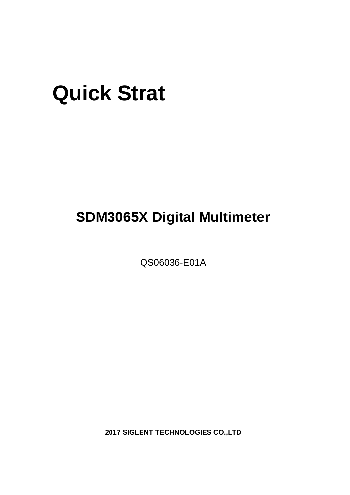# **Quick Strat**

## **SDM3065X Digital Multimeter**

QS06036-E01A

**2017 SIGLENT TECHNOLOGIES CO.,LTD**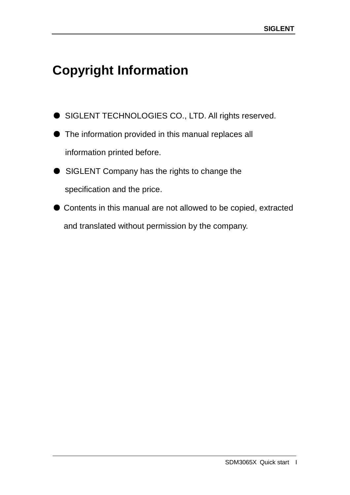## <span id="page-2-0"></span>**Copyright Information**

- SIGLENT TECHNOLOGIES CO., LTD. All rights reserved.
- The information provided in this manual replaces all information printed before.
- SIGLENT Company has the rights to change the specification and the price.
- Contents in this manual are not allowed to be copied, extracted and translated without permission by the company.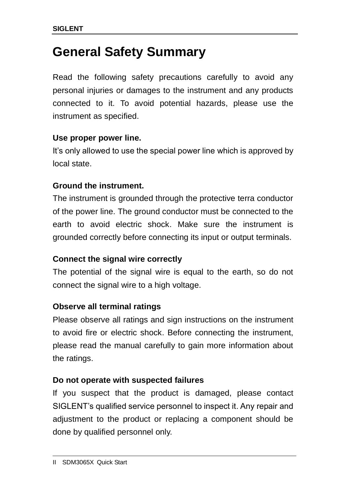### <span id="page-3-0"></span>**General Safety Summary**

Read the following safety precautions carefully to avoid any personal injuries or damages to the instrument and any products connected to it. To avoid potential hazards, please use the instrument as specified.

### **Use proper power line.**

It's only allowed to use the special power line which is approved by local state.

### **Ground the instrument.**

The instrument is grounded through the protective terra conductor of the power line. The ground conductor must be connected to the earth to avoid electric shock. Make sure the instrument is grounded correctly before connecting its input or output terminals.

### **Connect the signal wire correctly**

The potential of the signal wire is equal to the earth, so do not connect the signal wire to a high voltage.

### **Observe all terminal ratings**

Please observe all ratings and sign instructions on the instrument to avoid fire or electric shock. Before connecting the instrument, please read the manual carefully to gain more information about the ratings.

### **Do not operate with suspected failures**

If you suspect that the product is damaged, please contact SIGLENT's qualified service personnel to inspect it. Any repair and adjustment to the product or replacing a component should be done by qualified personnel only.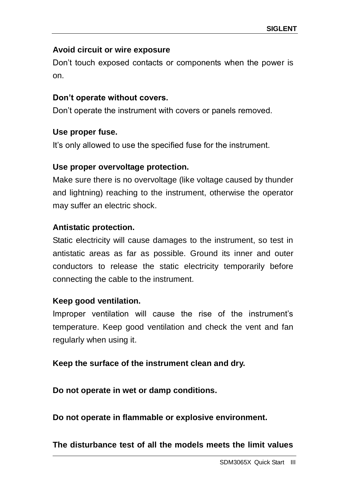### **Avoid circuit or wire exposure**

Don't touch exposed contacts or components when the power is on.

### **Don't operate without covers.**

Don't operate the instrument with covers or panels removed.

#### **Use proper fuse.**

It's only allowed to use the specified fuse for the instrument.

#### **Use proper overvoltage protection.**

Make sure there is no overvoltage (like voltage caused by thunder and lightning) reaching to the instrument, otherwise the operator may suffer an electric shock.

### **Antistatic protection.**

Static electricity will cause damages to the instrument, so test in antistatic areas as far as possible. Ground its inner and outer conductors to release the static electricity temporarily before connecting the cable to the instrument.

### **Keep good ventilation.**

Improper ventilation will cause the rise of the instrument's temperature. Keep good ventilation and check the vent and fan regularly when using it.

### **Keep the surface of the instrument clean and dry.**

**Do not operate in wet or damp conditions.**

**Do not operate in flammable or explosive environment.**

**The disturbance test of all the models meets the limit values**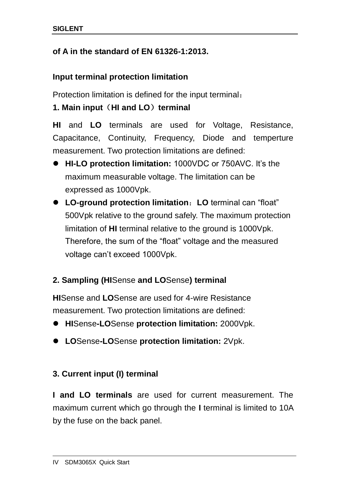### **of A in the standard of EN 61326-1:2013.**

### **Input terminal protection limitation**

Protection limitation is defined for the input terminal:

### **1. Main input**(**HI and LO**)**terminal**

**HI** and **LO** terminals are used for Voltage, Resistance, Capacitance, Continuity, Frequency, Diode and temperture measurement. Two protection limitations are defined:

- **HI-LO protection limitation:** 1000VDC or 750AVC. It's the maximum measurable voltage. The limitation can be expressed as 1000Vpk.
- **LO-ground protection limitation**:**LO** terminal can "float" 500Vpk relative to the ground safely. The maximum protection limitation of **HI** terminal relative to the ground is 1000Vpk. Therefore, the sum of the "float" voltage and the measured voltage can't exceed 1000Vpk.

### **2. Sampling (HI**Sense **and LO**Sense**) terminal**

**HI**Sense and **LO**Sense are used for 4-wire Resistance measurement. Two protection limitations are defined:

- **HI**Sense**-LO**Sense **protection limitation:** 2000Vpk.
- **LO**Sense**-LO**Sense **protection limitation:** 2Vpk.

### **3. Current input (I) terminal**

**I and LO terminals** are used for current measurement. The maximum current which go through the **I** terminal is limited to 10A by the fuse on the back panel.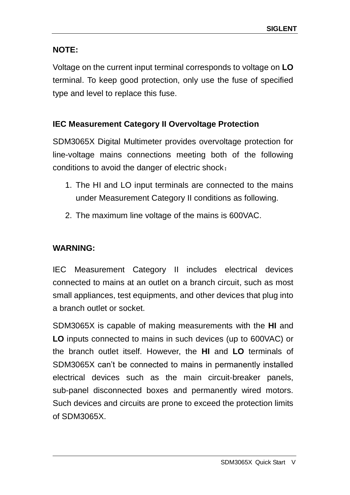### **NOTE:**

Voltage on the current input terminal corresponds to voltage on **LO** terminal. To keep good protection, only use the fuse of specified type and level to replace this fuse.

### **IEC Measurement Category II Overvoltage Protection**

SDM3065X Digital Multimeter provides overvoltage protection for line-voltage mains connections meeting both of the following conditions to avoid the danger of electric shock:

- 1. The HI and LO input terminals are connected to the mains under Measurement Category II conditions as following.
- 2. The maximum line voltage of the mains is 600VAC.

### **WARNING:**

IEC Measurement Category II includes electrical devices connected to mains at an outlet on a branch circuit, such as most small appliances, test equipments, and other devices that plug into a branch outlet or socket.

SDM3065X is capable of making measurements with the **HI** and **LO** inputs connected to mains in such devices (up to 600VAC) or the branch outlet itself. However, the **HI** and **LO** terminals of SDM3065X can't be connected to mains in permanently installed electrical devices such as the main circuit-breaker panels, sub-panel disconnected boxes and permanently wired motors. Such devices and circuits are prone to exceed the protection limits of SDM3065X.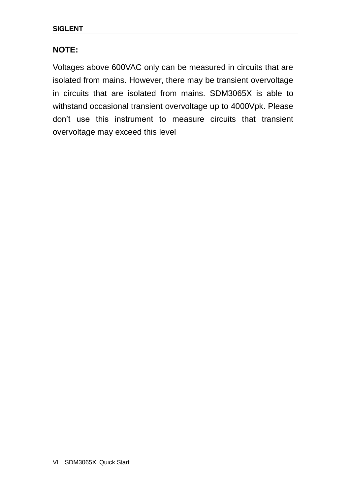### **NOTE:**

Voltages above 600VAC only can be measured in circuits that are isolated from mains. However, there may be transient overvoltage in circuits that are isolated from mains. SDM3065X is able to withstand occasional transient overvoltage up to 4000Vpk. Please don't use this instrument to measure circuits that transient overvoltage may exceed this level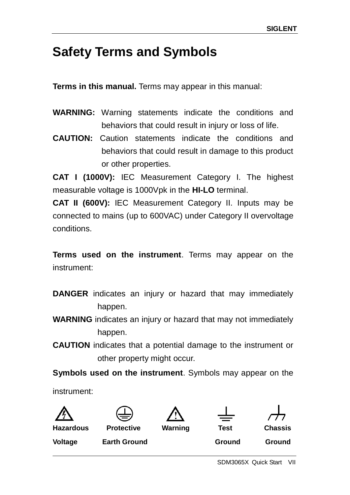### <span id="page-8-0"></span>**Safety Terms and Symbols**

**Terms in this manual.** Terms may appear in this manual:

- **WARNING:** Warning statements indicate the conditions and behaviors that could result in injury or loss of life.
- **CAUTION:** Caution statements indicate the conditions and behaviors that could result in damage to this product or other properties.

**CAT I (1000V):** IEC Measurement Category I. The highest measurable voltage is 1000Vpk in the **HI-LO** terminal.

**CAT II (600V):** IEC Measurement Category II. Inputs may be connected to mains (up to 600VAC) under Category II overvoltage conditions.

**Terms used on the instrument**. Terms may appear on the instrument:

- **DANGER** indicates an injury or hazard that may immediately happen.
- **WARNING** indicates an injury or hazard that may not immediately happen.
- **CAUTION** indicates that a potential damage to the instrument or other property might occur.

**Symbols used on the instrument**. Symbols may appear on the

instrument:







**Hazardous Protective Warning Test Chassis**



**Voltage Earth Ground Ground Ground Ground** 

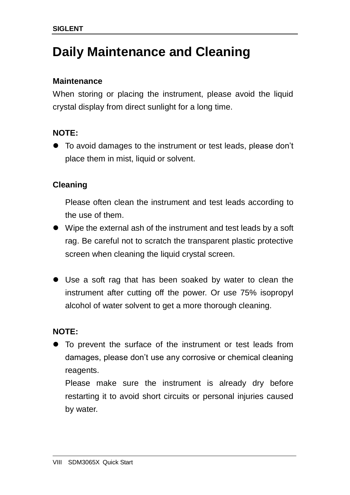### <span id="page-9-0"></span>**Daily Maintenance and Cleaning**

### **Maintenance**

When storing or placing the instrument, please avoid the liquid crystal display from direct sunlight for a long time.

### **NOTE:**

 To avoid damages to the instrument or test leads, please don't place them in mist, liquid or solvent.

### **Cleaning**

Please often clean the instrument and test leads according to the use of them.

- Wipe the external ash of the instrument and test leads by a soft rag. Be careful not to scratch the transparent plastic protective screen when cleaning the liquid crystal screen.
- Use a soft rag that has been soaked by water to clean the instrument after cutting off the power. Or use 75% isopropyl alcohol of water solvent to get a more thorough cleaning.

### **NOTE:**

 To prevent the surface of the instrument or test leads from damages, please don't use any corrosive or chemical cleaning reagents.

Please make sure the instrument is already dry before restarting it to avoid short circuits or personal injuries caused by water.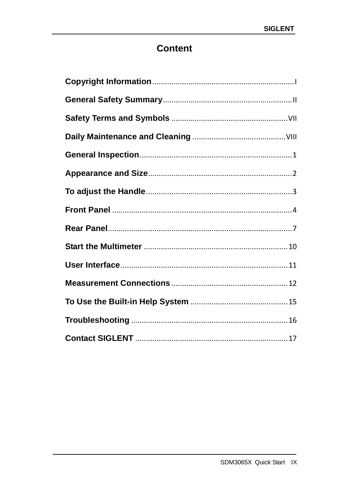### **Content**

<span id="page-10-0"></span>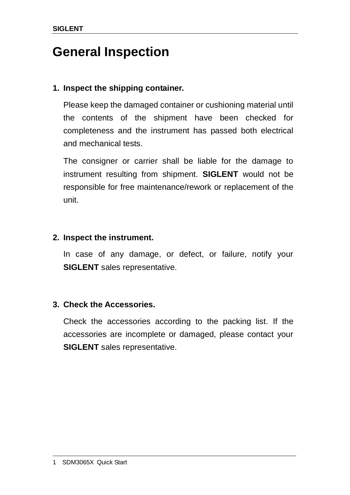### **General Inspection**

### **1. Inspect the shipping container.**

Please keep the damaged container or cushioning material until the contents of the shipment have been checked for completeness and the instrument has passed both electrical and mechanical tests.

The consigner or carrier shall be liable for the damage to instrument resulting from shipment. **SIGLENT** would not be responsible for free maintenance/rework or replacement of the unit.

### **2. Inspect the instrument.**

In case of any damage, or defect, or failure, notify your **SIGLENT** sales representative.

### **3. Check the Accessories.**

Check the accessories according to the packing list. If the accessories are incomplete or damaged, please contact your **SIGLENT** sales representative.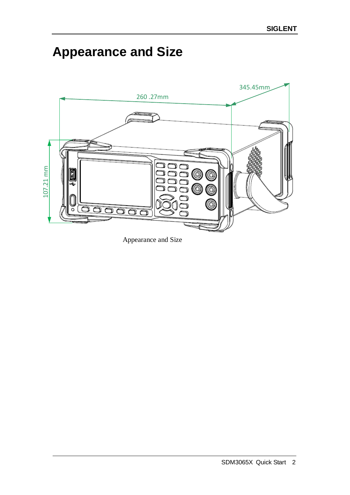## <span id="page-12-0"></span>**Appearance and Size**



Appearance and Size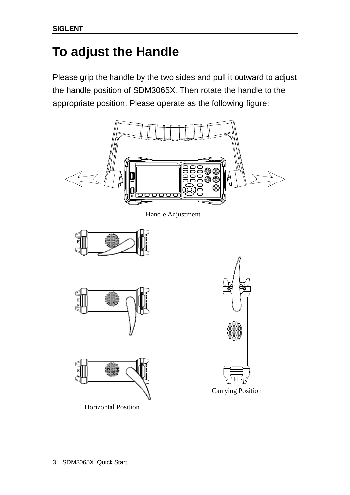## <span id="page-13-0"></span>**To adjust the Handle**

Please grip the handle by the two sides and pull it outward to adjust the handle position of SDM3065X. Then rotate the handle to the appropriate position. Please operate as the following figure:

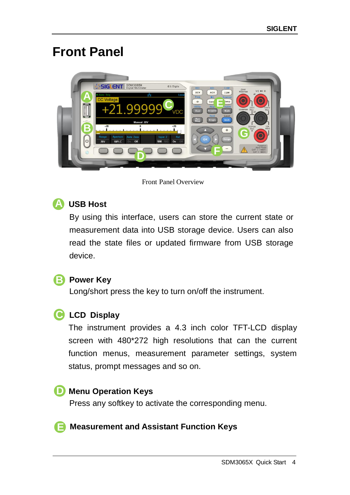### <span id="page-14-0"></span>**Front Panel**



#### Front Panel Overview

#### **USB Host A**

By using this interface, users can store the current state or measurement data into USB storage device. Users can also read the state files or updated firmware from USB storage device.

### **B** Power Key

Long/short press the key to turn on/off the instrument.

### **LCD Display C**

The instrument provides a 4.3 inch color TFT-LCD display screen with 480\*272 high resolutions that can the current function menus, measurement parameter settings, system status, prompt messages and so on.

### **D** Menu Operation Keys

Press any softkey to activate the corresponding menu.

#### **Measurement and Assistant Function Keys E**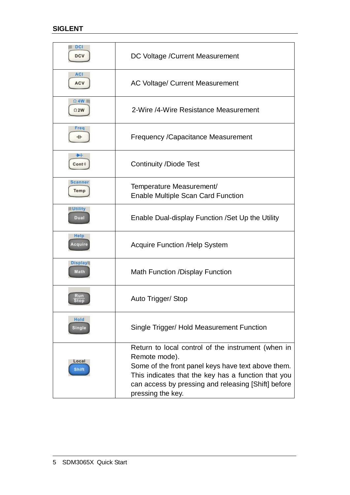| $\blacksquare$ DCI<br><b>DCV</b> | DC Voltage / Current Measurement                                                                                                                                                                                                                             |
|----------------------------------|--------------------------------------------------------------------------------------------------------------------------------------------------------------------------------------------------------------------------------------------------------------|
| <b>ACI</b><br>ACV                | <b>AC Voltage/ Current Measurement</b>                                                                                                                                                                                                                       |
| $\Omega$ 4W<br>$\Omega$ 2W       | 2-Wire /4-Wire Resistance Measurement                                                                                                                                                                                                                        |
| Freq<br>ᆎ                        | <b>Frequency / Capacitance Measurement</b>                                                                                                                                                                                                                   |
| ▸<br>Cont                        | <b>Continuity /Diode Test</b>                                                                                                                                                                                                                                |
| Scanner<br>Temp                  | Temperature Measurement/<br><b>Enable Multiple Scan Card Function</b>                                                                                                                                                                                        |
| <b>Utility</b><br>Dual           | Enable Dual-display Function / Set Up the Utility                                                                                                                                                                                                            |
| Help<br><b>cauir</b>             | <b>Acquire Function /Help System</b>                                                                                                                                                                                                                         |
| <b>Display</b><br>Math           | <b>Math Function /Display Function</b>                                                                                                                                                                                                                       |
| RЩ<br>Stop                       | Auto Trigger/ Stop                                                                                                                                                                                                                                           |
| Hold<br><b>Single</b>            | Single Trigger/ Hold Measurement Function                                                                                                                                                                                                                    |
| Local<br>Shift                   | Return to local control of the instrument (when in<br>Remote mode).<br>Some of the front panel keys have text above them.<br>This indicates that the key has a function that you<br>can access by pressing and releasing [Shift] before<br>pressing the key. |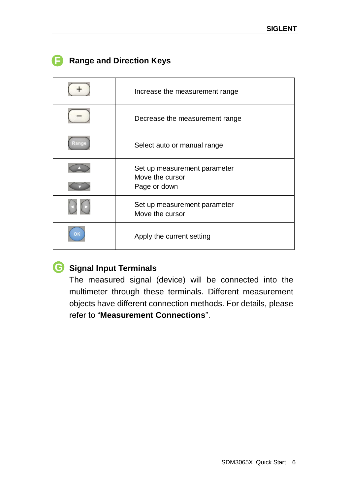|    | Increase the measurement range                  |
|----|-------------------------------------------------|
|    | Decrease the measurement range                  |
|    | Select auto or manual range                     |
|    | Set up measurement parameter                    |
|    | Move the cursor<br>Page or down                 |
|    | Set up measurement parameter<br>Move the cursor |
| OK | Apply the current setting                       |

### **Range and Direction Keys**

### **Signal Input Terminals G**

The measured signal (device) will be connected into the multimeter through these terminals. Different measurement objects have different connection methods. For details, please refer to "**Measurement Connections**".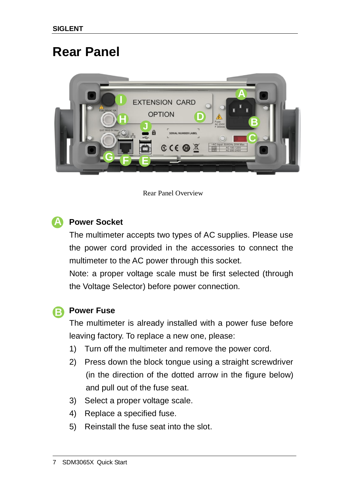### <span id="page-17-0"></span>**Rear Panel**



Rear Panel Overview



### **Power Socket**

The multimeter accepts two types of AC supplies. Please use the power cord provided in the accessories to connect the multimeter to the AC power through this socket.

Note: a proper voltage scale must be first selected (through the Voltage Selector) before power connection.

### **Power Fuse B**

The multimeter is already installed with a power fuse before leaving factory. To replace a new one, please:

- 1) Turn off the multimeter and remove the power cord.
- 2) Press down the block tongue using a straight screwdriver (in the direction of the dotted arrow in the figure below) and pull out of the fuse seat.
- 3) Select a proper voltage scale.
- 4) Replace a specified fuse.
- 5) Reinstall the fuse seat into the slot.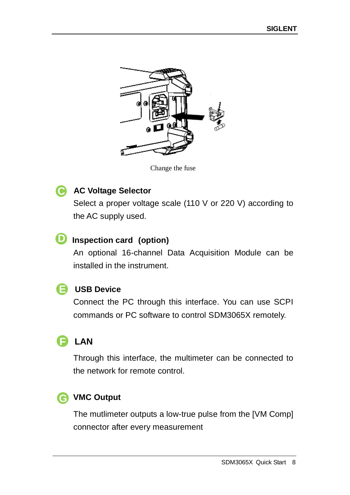

Change the fuse

#### **AC Voltage Selector C**

Select a proper voltage scale (110 V or 220 V) according to the AC supply used.

### **D** Inspection card (option)

An optional 16-channel Data Acquisition Module can be installed in the instrument.

### **USB Device E**

Connect the PC through this interface. You can use SCPI commands or PC software to control SDM3065X remotely.

#### **LAN F**

Through this interface, the multimeter can be connected to the network for remote control.

### **VMC Output G**

The mutlimeter outputs a low-true pulse from the [VM Comp] connector after every measurement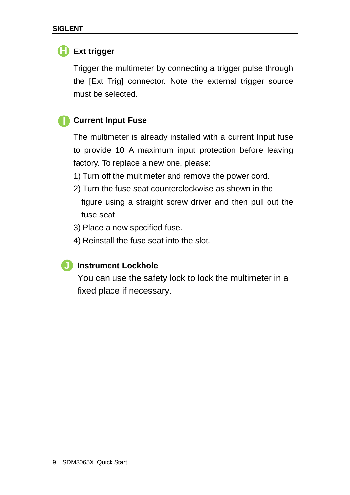### **HExt trigger**

Trigger the multimeter by connecting a trigger pulse through the [Ext Trig] connector. Note the external trigger source must be selected.

#### **Current Input Fuse I**

The multimeter is already installed with a current Input fuse to provide 10 A maximum input protection before leaving factory. To replace a new one, please:

- 1) Turn off the multimeter and remove the power cord.
- 2) Turn the fuse seat counterclockwise as shown in the figure using a straight screw driver and then pull out the fuse seat
- 3) Place a new specified fuse.
- 4) Reinstall the fuse seat into the slot.

#### **Instrument Lockhole J**

You can use the safety lock to lock the multimeter in a fixed place if necessary.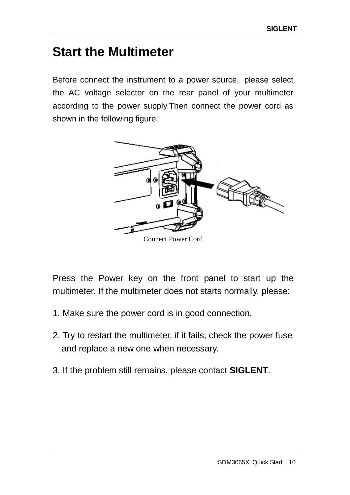### <span id="page-20-0"></span>**Start the Multimeter**

Before connect the instrument to a power source, please select the AC voltage selector on the rear panel of your multimeter according to the power supply.Then connect the power cord as shown in the following figure.



Press the Power key on the front panel to start up the multimeter. If the multimeter does not starts normally, please:

- 1. Make sure the power cord is in good connection.
- 2. Try to restart the multimeter, if it fails, check the power fuse and replace a new one when necessary.
- 3. If the problem still remains, please contact **SIGLENT**.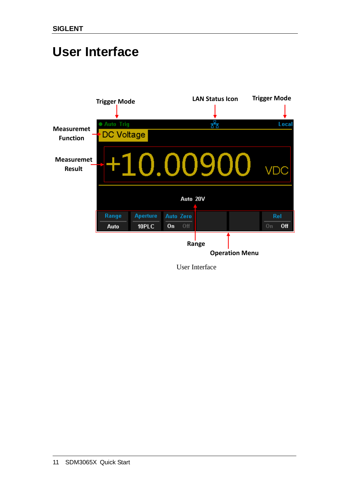### <span id="page-21-0"></span>**User Interface**



User Interface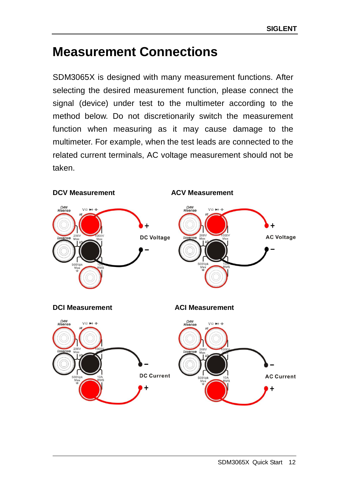## <span id="page-22-0"></span>**Measurement Connections**

SDM3065X is designed with many measurement functions. After selecting the desired measurement function, please connect the signal (device) under test to the multimeter according to the method below. Do not discretionarily switch the measurement function when measuring as it may cause damage to the multimeter. For example, when the test leads are connected to the related current terminals, AC voltage measurement should not be taken.

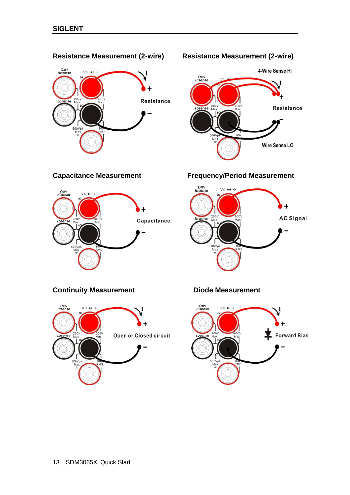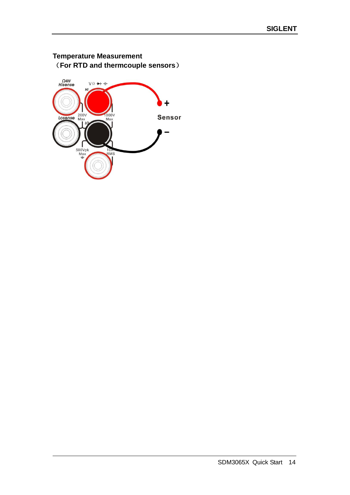### **Temperature Measurement** (**For RTD and thermcouple sensors**)

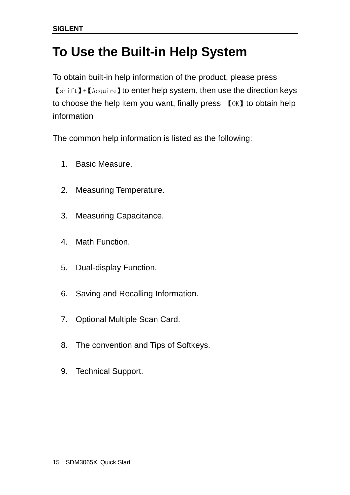### <span id="page-25-0"></span>**To Use the Built-in Help System**

To obtain built-in help information of the product, please press 【shift】+【Acquire】to enter help system, then use the direction keys to choose the help item you want, finally press 【OK】to obtain help information

The common help information is listed as the following:

- 1. Basic Measure.
- 2. Measuring Temperature.
- 3. Measuring Capacitance.
- 4. Math Function.
- 5. Dual-display Function.
- 6. Saving and Recalling Information.
- 7. Optional Multiple Scan Card.
- 8. The convention and Tips of Softkeys.
- 9. Technical Support.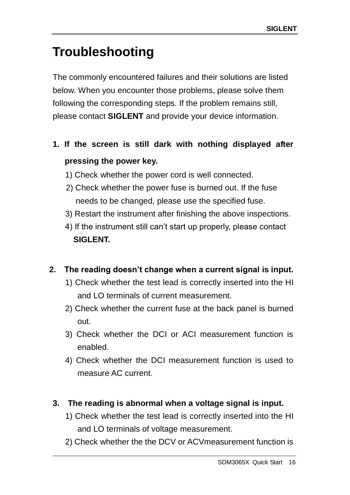## <span id="page-26-0"></span>**Troubleshooting**

The commonly encountered failures and their solutions are listed below. When you encounter those problems, please solve them following the corresponding steps. If the problem remains still, please contact **SIGLENT** and provide your device information.

- **1. If the screen is still dark with nothing displayed after pressing the power key.**
	- 1) Check whether the power cord is well connected.
	- 2) Check whether the power fuse is burned out. If the fuse needs to be changed, please use the specified fuse.
	- 3) Restart the instrument after finishing the above inspections.
	- 4) If the instrument still can't start up properly, please contact **SIGLENT.**

### **2. The reading doesn't change when a current signal is input.**

- 1) Check whether the test lead is correctly inserted into the HI and LO terminals of current measurement.
- 2) Check whether the current fuse at the back panel is burned out.
- 3) Check whether the DCI or ACI measurement function is enabled.
- 4) Check whether the DCI measurement function is used to measure AC current.
- **3. The reading is abnormal when a voltage signal is input.**
	- 1) Check whether the test lead is correctly inserted into the HI and LO terminals of voltage measurement.
	- 2) Check whether the the DCV or ACVmeasurement function is